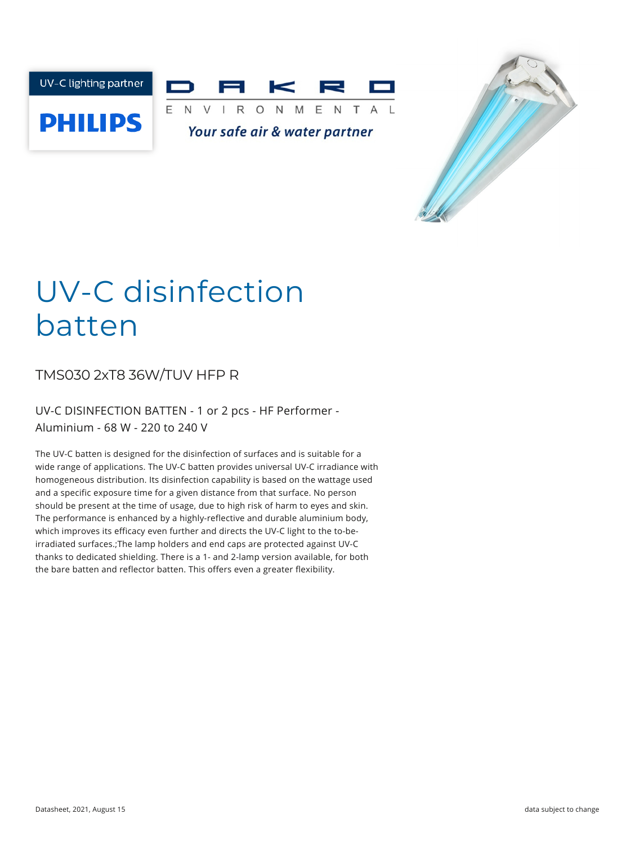



# UV-C disinfection batten

TMS030 2xT8 36W/TUV HFP R

UV-C DISINFECTION BATTEN - 1 or 2 pcs - HF Performer - Aluminium - 68 W - 220 to 240 V

The UV-C batten is designed for the disinfection of surfaces and is suitable for a wide range of applications. The UV-C batten provides universal UV-C irradiance with homogeneous distribution. Its disinfection capability is based on the wattage used and a specific exposure time for a given distance from that surface. No person should be present at the time of usage, due to high risk of harm to eyes and skin. The performance is enhanced by a highly-reflective and durable aluminium body, which improves its efficacy even further and directs the UV-C light to the to-beirradiated surfaces.;The lamp holders and end caps are protected against UV-C thanks to dedicated shielding. There is a 1- and 2-lamp version available, for both the bare batten and reflector batten. This offers even a greater flexibility.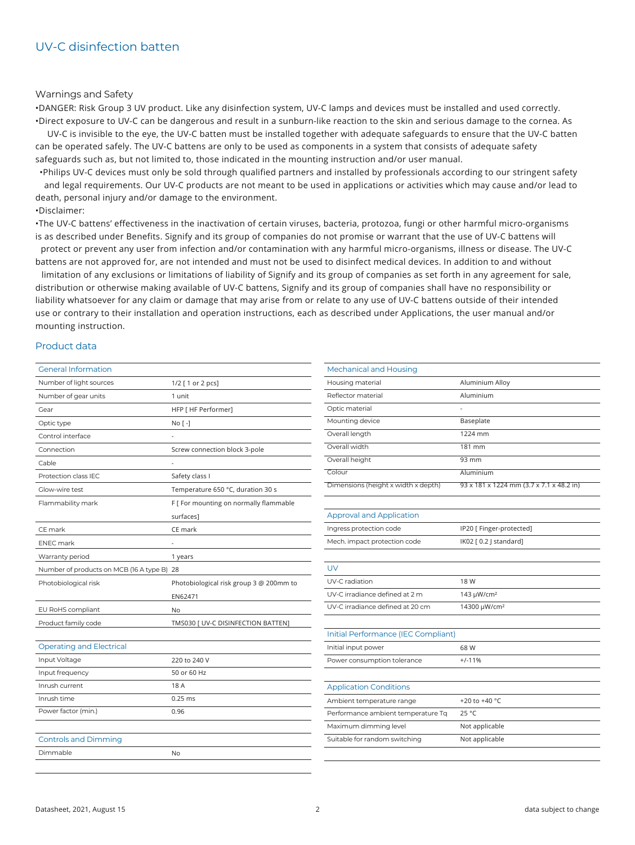#### Warnings and Safety

•DANGER: Risk Group 3 UV product. Like any disinfection system, UV-C lamps and devices must be installed and used correctly. •Direct exposure to UV-C can be dangerous and result in a sunburn-like reaction to the skin and serious damage to the cornea. As

UV-C is invisible to the eye, the UV-C batten must be installed together with adequate safeguards to ensure that the UV-C batten can be operated safely. The UV-C battens are only to be used as components in a system that consists of adequate safety safeguards such as, but not limited to, those indicated in the mounting instruction and/or user manual.

•Philips UV-C devices must only be sold through qualified partners and installed by professionals according to our stringent safety and legal requirements. Our UV-C products are not meant to be used in applications or activities which may cause and/or lead to death, personal injury and/or damage to the environment.

•Disclaimer:

•The UV-C battens' effectiveness in the inactivation of certain viruses, bacteria, protozoa, fungi or other harmful micro-organisms is as described under Benefits. Signify and its group of companies do not promise or warrant that the use of UV-C battens will protect or prevent any user from infection and/or contamination with any harmful micro-organisms, illness or disease. The UV-C

battens are not approved for, are not intended and must not be used to disinfect medical devices. In addition to and without

limitation of any exclusions or limitations of liability of Signify and its group of companies as set forth in any agreement for sale, distribution or otherwise making available of UV-C battens, Signify and its group of companies shall have no responsibility or liability whatsoever for any claim or damage that may arise from or relate to any use of UV-C battens outside of their intended use or contrary to their installation and operation instructions, each as described under Applications, the user manual and/or mounting instruction.

### Product data

| <b>General Information</b>              |                                         |
|-----------------------------------------|-----------------------------------------|
| Number of light sources                 | 1/2 [ 1 or 2 pcs]                       |
| Number of gear units                    | 1 unit                                  |
| Gear                                    | HFP [ HF Performer]                     |
| Optic type                              | No [-]                                  |
| Control interface                       |                                         |
| Connection                              | Screw connection block 3-pole           |
| Cable                                   |                                         |
| Protection class IEC                    | Safety class I                          |
| Glow-wire test                          | Temperature 650 °C, duration 30 s       |
| Flammability mark                       | F [ For mounting on normally flammable  |
|                                         | surfaces]                               |
| CE mark                                 | CE mark                                 |
| <b>ENEC mark</b>                        |                                         |
| Warranty period                         | 1 years                                 |
| Number of products on MCB (16 A type B) | 28                                      |
| Photobiological risk                    | Photobiological risk group 3 @ 200mm to |
|                                         | EN62471                                 |
| EU RoHS compliant                       | No                                      |
| Product family code                     | TMS030 [ UV-C DISINFECTION BATTEN]      |
|                                         |                                         |
| <b>Operating and Electrical</b>         |                                         |
| Input Voltage                           | 220 to 240 V                            |
| Input frequency                         | 50 or 60 Hz                             |
| Inrush current                          | 18 A                                    |
| Inrush time                             | $0.25$ ms                               |
| Power factor (min.)                     | 0.96                                    |
|                                         |                                         |
| <b>Controls and Dimming</b>             |                                         |
| Dimmable                                | No                                      |

| <b>Mechanical and Housing</b>       |                                          |
|-------------------------------------|------------------------------------------|
| Housing material                    | Aluminium Alloy                          |
| Reflector material                  | Aluminium                                |
| Optic material                      |                                          |
| Mounting device                     | Baseplate                                |
| Overall length                      | 1224 mm                                  |
| Overall width                       | 181 mm                                   |
| Overall height                      | 93 mm                                    |
| Colour                              | Aluminium                                |
| Dimensions (height x width x depth) | 93 x 181 x 1224 mm (3.7 x 7.1 x 48.2 in) |
|                                     |                                          |
| <b>Approval and Application</b>     |                                          |
| Ingress protection code             | IP20 [ Finger-protected]                 |
| Mech. impact protection code        | IK02 [0.2 ] standard]                    |
|                                     |                                          |
| UV                                  |                                          |
| UV-C radiation                      | 18 W                                     |
| UV-C irradiance defined at 2 m      | 143 µW/cm <sup>2</sup>                   |
| UV-C irradiance defined at 20 cm    | 14300 µW/cm <sup>2</sup>                 |
|                                     |                                          |
| Initial Performance (IEC Compliant) |                                          |
| Initial input power                 | 68 W                                     |
| Power consumption tolerance         | $+/-11%$                                 |
|                                     |                                          |
| <b>Application Conditions</b>       |                                          |
| Ambient temperature range           | +20 to +40 $^{\circ}$ C                  |
| Performance ambient temperature Tq  | 25 °C                                    |
| Maximum dimming level               | Not applicable                           |
| Suitable for random switching       | Not applicable                           |
|                                     |                                          |
|                                     |                                          |